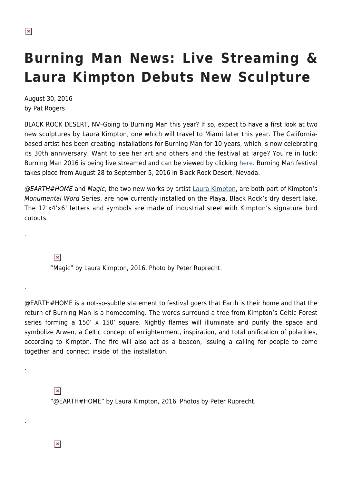## **Burning Man News: Live Streaming & Laura Kimpton Debuts New Sculpture**

August 30, 2016 by Pat Rogers

BLACK ROCK DESERT, NV–Going to Burning Man this year? If so, expect to have a first look at two new sculptures by Laura Kimpton, one which will travel to Miami later this year. The Californiabased artist has been creating installations for Burning Man for 10 years, which is now celebrating its 30th anniversary. Want to see her art and others and the festival at large? You're in luck: Burning Man 2016 is being live streamed and can be viewed by clicking [here](http://burningman.org/event/live-webcast/). Burning Man festival takes place from August 28 to September 5, 2016 in Black Rock Desert, Nevada.

@EARTH#HOME and Magic, the two new works by artist [Laura Kimpton](http://laurakimpton.com/), are both part of Kimpton's Monumental Word Series, are now currently installed on the Playa, Black Rock's dry desert lake. The 12'x4'x6' letters and symbols are made of industrial steel with Kimpton's signature bird cutouts.

 $\pmb{\times}$ 

.

.

.

.

"Magic" by Laura Kimpton, 2016. Photo by Peter Ruprecht.

@EARTH#HOME is a not-so-subtle statement to festival goers that Earth is their home and that the return of Burning Man is a homecoming. The words surround a tree from Kimpton's Celtic Forest series forming a 150' x 150' square. Nightly flames will illuminate and purify the space and symbolize Arwen, a Celtic concept of enlightenment, inspiration, and total unification of polarities, according to Kimpton. The fire will also act as a beacon, issuing a calling for people to come together and connect inside of the installation.

 $\pmb{\times}$ 

"@EARTH#HOME" by Laura Kimpton, 2016. Photos by Peter Ruprecht.